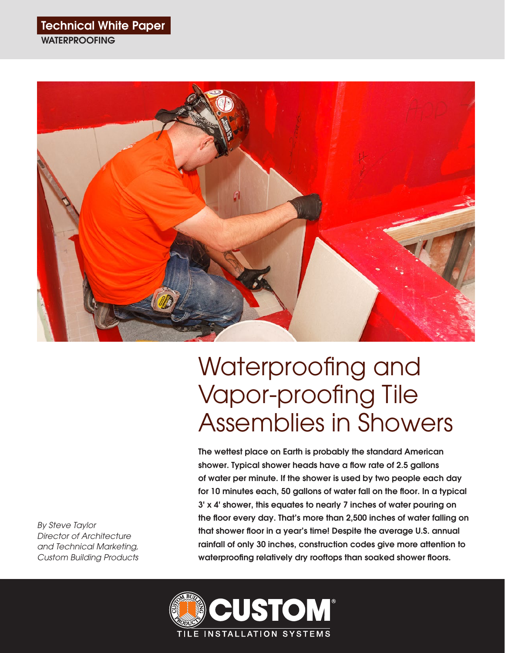## Technical White Paper

**WATERPROOFING** 



# Waterproofing and Vapor-proofing Tile Assemblies in Showers

The wettest place on Earth is probably the standard American shower. Typical shower heads have a flow rate of 2.5 gallons of water per minute. If the shower is used by two people each day for 10 minutes each, 50 gallons of water fall on the floor. In a typical 3' x 4' shower, this equates to nearly 7 inches of water pouring on the floor every day. That's more than 2,500 inches of water falling on that shower floor in a year's time! Despite the average U.S. annual rainfall of only 30 inches, construction codes give more attention to waterproofing relatively dry rooftops than soaked shower floors.



*By Steve Taylor Director of Architecture and Technical Marketing, Custom Building Products*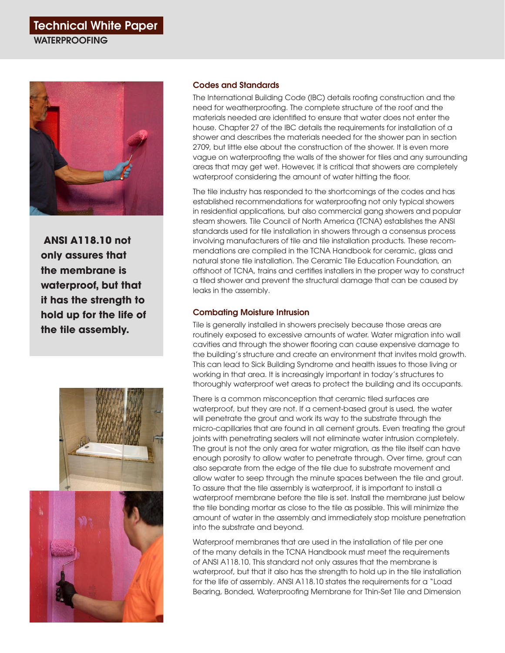# Technical White Paper **WATERPROOFING**



 **ANSI A118.10 not only assures that the membrane is waterproof, but that it has the strength to hold up for the life of the tile assembly.**



#### Codes and Standards

The International Building Code (IBC) details roofing construction and the need for weatherproofing. The complete structure of the roof and the materials needed are identified to ensure that water does not enter the house. Chapter 27 of the IBC details the requirements for installation of a shower and describes the materials needed for the shower pan in section 2709, but little else about the construction of the shower. It is even more vague on waterproofing the walls of the shower for tiles and any surrounding areas that may get wet. However, it is critical that showers are completely waterproof considering the amount of water hitting the floor.

The tile industry has responded to the shortcomings of the codes and has established recommendations for waterproofing not only typical showers in residential applications, but also commercial gang showers and popular steam showers. Tile Council of North America (TCNA) establishes the ANSI standards used for tile installation in showers through a consensus process involving manufacturers of tile and tile installation products. These recommendations are compiled in the TCNA Handbook for ceramic, glass and natural stone tile installation. The Ceramic Tile Education Foundation, an offshoot of TCNA, trains and certifies installers in the proper way to construct a tiled shower and prevent the structural damage that can be caused by leaks in the assembly.

#### Combating Moisture Intrusion

Tile is generally installed in showers precisely because those areas are routinely exposed to excessive amounts of water. Water migration into wall cavities and through the shower flooring can cause expensive damage to the building's structure and create an environment that invites mold growth. This can lead to Sick Building Syndrome and health issues to those living or working in that area. It is increasingly important in today's structures to thoroughly waterproof wet areas to protect the building and its occupants.

There is a common misconception that ceramic tiled surfaces are waterproof, but they are not. If a cement-based grout is used, the water will penetrate the grout and work its way to the substrate through the micro-capillaries that are found in all cement grouts. Even treating the grout joints with penetrating sealers will not eliminate water intrusion completely. The grout is not the only area for water migration, as the tile itself can have enough porosity to allow water to penetrate through. Over time, grout can also separate from the edge of the tile due to substrate movement and allow water to seep through the minute spaces between the tile and grout. To assure that the tile assembly is waterproof, it is important to install a waterproof membrane before the tile is set. Install the membrane just below the tile bonding mortar as close to the tile as possible. This will minimize the amount of water in the assembly and immediately stop moisture penetration into the substrate and beyond.

Waterproof membranes that are used in the installation of tile per one of the many details in the TCNA Handbook must meet the requirements of ANSI A118.10. This standard not only assures that the membrane is waterproof, but that it also has the strength to hold up in the tile installation for the life of assembly. ANSI A118.10 states the requirements for a "Load Bearing, Bonded, Waterproofing Membrane for Thin-Set Tile and Dimension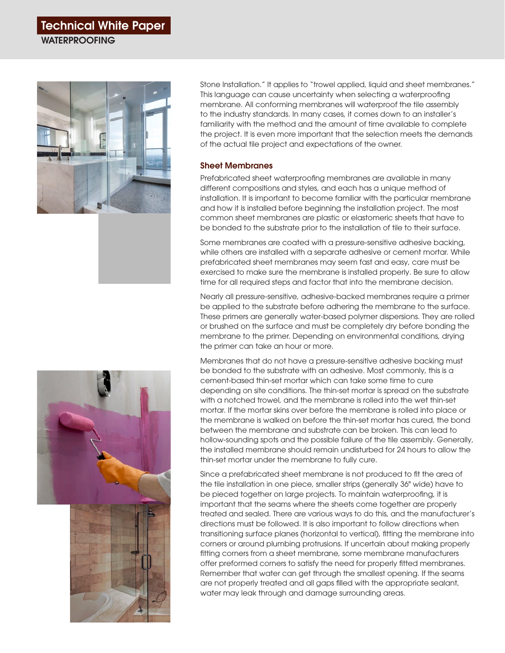# Technical White Paper

**WATERPROOFING** 



Stone Installation." It applies to "trowel applied, liquid and sheet membranes." This language can cause uncertainty when selecting a waterproofing membrane. All conforming membranes will waterproof the tile assembly to the industry standards. In many cases, it comes down to an installer's familiarity with the method and the amount of time available to complete the project. It is even more important that the selection meets the demands of the actual tile project and expectations of the owner.

#### Sheet Membranes

Prefabricated sheet waterproofing membranes are available in many different compositions and styles, and each has a unique method of installation. It is important to become familiar with the particular membrane and how it is installed before beginning the installation project. The most common sheet membranes are plastic or elastomeric sheets that have to be bonded to the substrate prior to the installation of tile to their surface.

Some membranes are coated with a pressure-sensitive adhesive backing, while others are installed with a separate adhesive or cement mortar. While prefabricated sheet membranes may seem fast and easy, care must be exercised to make sure the membrane is installed properly. Be sure to allow time for all required steps and factor that into the membrane decision.

Nearly all pressure-sensitive, adhesive-backed membranes require a primer be applied to the substrate before adhering the membrane to the surface. These primers are generally water-based polymer dispersions. They are rolled or brushed on the surface and must be completely dry before bonding the membrane to the primer. Depending on environmental conditions, drying the primer can take an hour or more.

Membranes that do not have a pressure-sensitive adhesive backing must be bonded to the substrate with an adhesive. Most commonly, this is a cement-based thin-set mortar which can take some time to cure depending on site conditions. The thin-set mortar is spread on the substrate with a notched trowel, and the membrane is rolled into the wet thin-set mortar. If the mortar skins over before the membrane is rolled into place or the membrane is walked on before the thin-set mortar has cured, the bond between the membrane and substrate can be broken. This can lead to hollow-sounding spots and the possible failure of the tile assembly. Generally, the installed membrane should remain undisturbed for 24 hours to allow the thin-set mortar under the membrane to fully cure.

Since a prefabricated sheet membrane is not produced to fit the area of the tile installation in one piece, smaller strips (generally 36" wide) have to be pieced together on large projects. To maintain waterproofing, it is important that the seams where the sheets come together are properly treated and sealed. There are various ways to do this, and the manufacturer's directions must be followed. It is also important to follow directions when transitioning surface planes (horizontal to vertical), fitting the membrane into corners or around plumbing protrusions. If uncertain about making properly fitting corners from a sheet membrane, some membrane manufacturers offer preformed corners to satisfy the need for properly fitted membranes. Remember that water can get through the smallest opening. If the seams are not properly treated and all gaps filled with the appropriate sealant, water may leak through and damage surrounding areas.



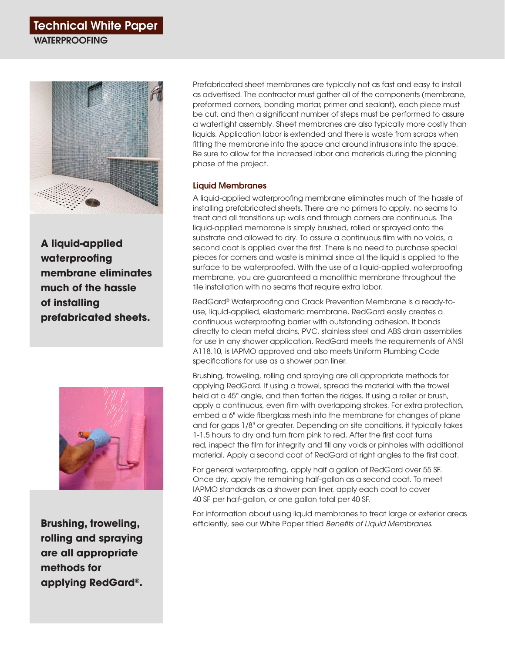### Technical White Paper **WATERPROOFING**



**A liquid-applied waterproofing membrane eliminates much of the hassle of installing prefabricated sheets.**



**Brushing, troweling, rolling and spraying are all appropriate methods for applying RedGard®.**

Prefabricated sheet membranes are typically not as fast and easy to install as advertised. The contractor must gather all of the components (membrane, preformed corners, bonding mortar, primer and sealant), each piece must be cut, and then a significant number of steps must be performed to assure a watertight assembly. Sheet membranes are also typically more costly than liquids. Application labor is extended and there is waste from scraps when fitting the membrane into the space and around intrusions into the space. Be sure to allow for the increased labor and materials during the planning phase of the project.

#### Liquid Membranes

A liquid-applied waterproofing membrane eliminates much of the hassle of installing prefabricated sheets. There are no primers to apply, no seams to treat and all transitions up walls and through corners are continuous. The liquid-applied membrane is simply brushed, rolled or sprayed onto the substrate and allowed to dry. To assure a continuous film with no voids, a second coat is applied over the first. There is no need to purchase special pieces for corners and waste is minimal since all the liquid is applied to the surface to be waterproofed. With the use of a liquid-applied waterproofing membrane, you are guaranteed a monolithic membrane throughout the tile installation with no seams that require extra labor.

RedGard® Waterproofing and Crack Prevention Membrane is a ready-touse, liquid-applied, elastomeric membrane. RedGard easily creates a continuous waterproofing barrier with outstanding adhesion. It bonds directly to clean metal drains, PVC, stainless steel and ABS drain assemblies for use in any shower application. RedGard meets the requirements of ANSI A118.10, is IAPMO approved and also meets Uniform Plumbing Code specifications for use as a shower pan liner.

Brushing, troweling, rolling and spraying are all appropriate methods for applying RedGard. If using a trowel, spread the material with the trowel held at a 45° angle, and then flatten the ridges. If using a roller or brush, apply a continuous, even film with overlapping strokes. For extra protection, embed a 6" wide fiberglass mesh into the membrane for changes of plane and for gaps 1/8" or greater. Depending on site conditions, it typically takes 1-1.5 hours to dry and turn from pink to red. After the first coat turns red, inspect the film for integrity and fill any voids or pinholes with additional material. Apply a second coat of RedGard at right angles to the first coat.

For general waterproofing, apply half a gallon of RedGard over 55 SF. Once dry, apply the remaining half-gallon as a second coat. To meet IAPMO standards as a shower pan liner, apply each coat to cover 40 SF per half-gallon, or one gallon total per 40 SF.

For information about using liquid membranes to treat large or exterior areas efficiently, see our White Paper titled *Benefits of Liquid Membranes*.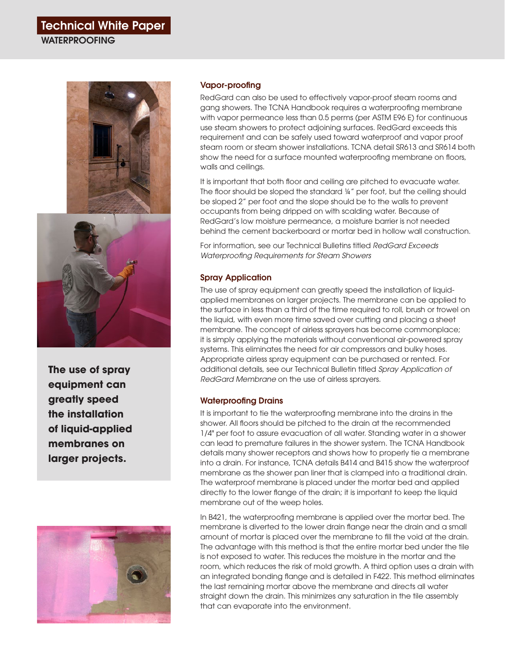# Technical White Paper

**WATERPROOFING** 



**The use of spray equipment can greatly speed the installation of liquid-applied membranes on larger projects.**



#### Vapor-proofing

RedGard can also be used to effectively vapor-proof steam rooms and gang showers. The TCNA Handbook requires a waterproofing membrane with vapor permeance less than 0.5 perms (per ASTM E96 E) for continuous use steam showers to protect adjoining surfaces. RedGard exceeds this requirement and can be safely used toward waterproof and vapor proof steam room or steam shower installations. TCNA detail SR613 and SR614 both show the need for a surface mounted waterproofing membrane on floors, walls and ceilings.

It is important that both floor and ceiling are pitched to evacuate water. The floor should be sloped the standard ¼" per foot, but the ceiling should be sloped 2" per foot and the slope should be to the walls to prevent occupants from being dripped on with scalding water. Because of RedGard's low moisture permeance, a moisture barrier is not needed behind the cement backerboard or mortar bed in hollow wall construction.

For information, see our Technical Bulletins titled *RedGard Exceeds Waterproofing Requirements for Steam Showers*

#### Spray Application

The use of spray equipment can greatly speed the installation of liquidapplied membranes on larger projects. The membrane can be applied to the surface in less than a third of the time required to roll, brush or trowel on the liquid, with even more time saved over cutting and placing a sheet membrane. The concept of airless sprayers has become commonplace; it is simply applying the materials without conventional air-powered spray systems. This eliminates the need for air compressors and bulky hoses. Appropriate airless spray equipment can be purchased or rented. For additional details, see our Technical Bulletin titled *Spray Application of RedGard Membrane* on the use of airless sprayers.

#### Waterproofing Drains

It is important to tie the waterproofing membrane into the drains in the shower. All floors should be pitched to the drain at the recommended 1/4" per foot to assure evacuation of all water. Standing water in a shower can lead to premature failures in the shower system. The TCNA Handbook details many shower receptors and shows how to properly tie a membrane into a drain. For instance, TCNA details B414 and B415 show the waterproof membrane as the shower pan liner that is clamped into a traditional drain. The waterproof membrane is placed under the mortar bed and applied directly to the lower flange of the drain; it is important to keep the liquid membrane out of the weep holes.

In B421, the waterproofing membrane is applied over the mortar bed. The membrane is diverted to the lower drain flange near the drain and a small amount of mortar is placed over the membrane to fill the void at the drain. The advantage with this method is that the entire mortar bed under the tile is not exposed to water. This reduces the moisture in the mortar and the room, which reduces the risk of mold growth. A third option uses a drain with an integrated bonding flange and is detailed in F422. This method eliminates the last remaining mortar above the membrane and directs all water straight down the drain. This minimizes any saturation in the tile assembly that can evaporate into the environment.